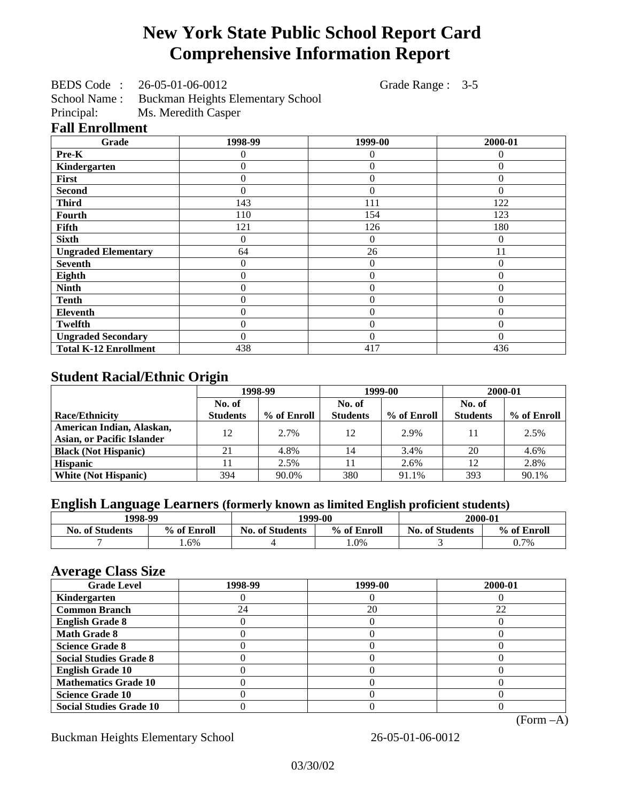# **New York State Public School Report Card Comprehensive Information Report**

BEDS Code : 26-05-01-06-0012 Grade Range : 3-5

School Name : Buckman Heights Elementary School<br>Principal: Ms. Meredith Casper

Ms. Meredith Casper

## **Fall Enrollment**

| Grade                        | 1998-99  | 1999-00          | 2000-01  |
|------------------------------|----------|------------------|----------|
| Pre-K                        | 0        | 0                | 0        |
| Kindergarten                 | 0        | $\theta$         | $\Omega$ |
| First                        | 0        | $\theta$         | $\Omega$ |
| <b>Second</b>                | 0        | $\theta$         | $\Omega$ |
| <b>Third</b>                 | 143      | 111              | 122      |
| Fourth                       | 110      | 154              | 123      |
| Fifth                        | 121      | 126              | 180      |
| <b>Sixth</b>                 | 0        | $\overline{0}$   | $\Omega$ |
| <b>Ungraded Elementary</b>   | 64       | 26               | 11       |
| <b>Seventh</b>               | $\theta$ | $\boldsymbol{0}$ | $\theta$ |
| Eighth                       | $\theta$ | $\theta$         | $\Omega$ |
| <b>Ninth</b>                 | 0        | $\overline{0}$   | $\theta$ |
| <b>Tenth</b>                 | 0        | $\overline{0}$   | $\theta$ |
| <b>Eleventh</b>              | 0        | $\overline{0}$   | $\Omega$ |
| <b>Twelfth</b>               | 0        | $\overline{0}$   | $\theta$ |
| <b>Ungraded Secondary</b>    | 0        | $\Omega$         | $\Omega$ |
| <b>Total K-12 Enrollment</b> | 438      | 417              | 436      |

# **Student Racial/Ethnic Origin**

|                                   | 1998-99         |             | 1999-00         |             | 2000-01         |             |
|-----------------------------------|-----------------|-------------|-----------------|-------------|-----------------|-------------|
|                                   | No. of          |             | No. of          |             | No. of          |             |
| <b>Race/Ethnicity</b>             | <b>Students</b> | % of Enroll | <b>Students</b> | % of Enroll | <b>Students</b> | % of Enroll |
| American Indian, Alaskan,         | 12              | 2.7%        | 12              | 2.9%        | 11              | 2.5%        |
| <b>Asian, or Pacific Islander</b> |                 |             |                 |             |                 |             |
| <b>Black (Not Hispanic)</b>       | 21              | 4.8%        | 14              | 3.4%        | 20              | 4.6%        |
| <b>Hispanic</b>                   |                 | 2.5%        |                 | 2.6%        | 12              | 2.8%        |
| <b>White (Not Hispanic)</b>       | 394             | 90.0%       | 380             | 91.1%       | 393             | 90.1%       |

# **English Language Learners (formerly known as limited English proficient students)**

| 1998-99                |             | 1999-00                |             | 2000-01                |             |
|------------------------|-------------|------------------------|-------------|------------------------|-------------|
| <b>No. of Students</b> | % of Enroll | <b>No. of Students</b> | % of Enroll | <b>No. of Students</b> | % of Enroll |
|                        | . .6%       |                        | .0%         |                        | 0.7%        |

#### **Average Class Size**

| <b>Grade Level</b>             | 1998-99 | 1999-00 | 2000-01 |
|--------------------------------|---------|---------|---------|
| Kindergarten                   |         |         |         |
| <b>Common Branch</b>           | 24      | 20      | 22      |
| <b>English Grade 8</b>         |         |         |         |
| <b>Math Grade 8</b>            |         |         |         |
| <b>Science Grade 8</b>         |         |         |         |
| <b>Social Studies Grade 8</b>  |         |         |         |
| <b>English Grade 10</b>        |         |         |         |
| <b>Mathematics Grade 10</b>    |         |         |         |
| <b>Science Grade 10</b>        |         |         |         |
| <b>Social Studies Grade 10</b> |         |         |         |

(Form –A)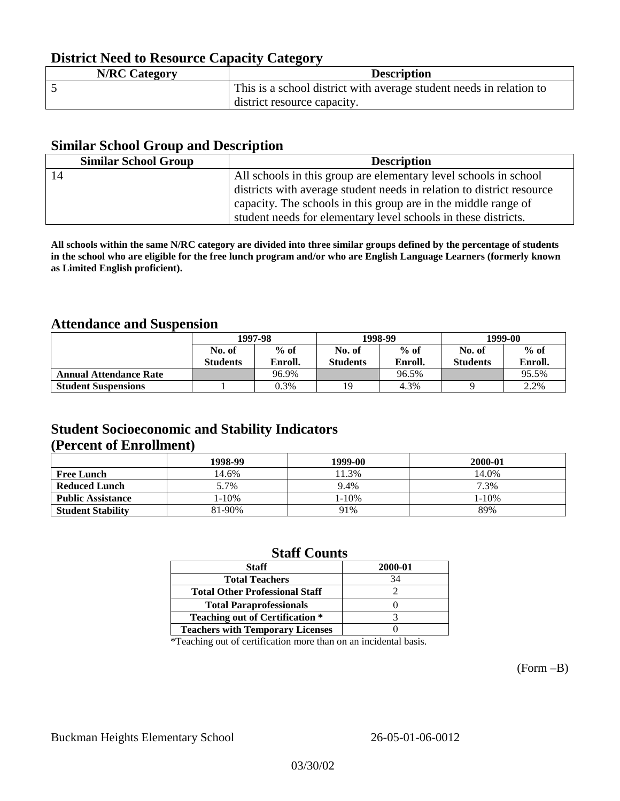# **District Need to Resource Capacity Category**

| <b>N/RC Category</b> | <b>Description</b>                                                  |
|----------------------|---------------------------------------------------------------------|
|                      | This is a school district with average student needs in relation to |
|                      | district resource capacity.                                         |

#### **Similar School Group and Description**

| <b>Similar School Group</b> | <b>Description</b>                                                    |
|-----------------------------|-----------------------------------------------------------------------|
| 14                          | All schools in this group are elementary level schools in school      |
|                             | districts with average student needs in relation to district resource |
|                             | capacity. The schools in this group are in the middle range of        |
|                             | student needs for elementary level schools in these districts.        |

**All schools within the same N/RC category are divided into three similar groups defined by the percentage of students in the school who are eligible for the free lunch program and/or who are English Language Learners (formerly known as Limited English proficient).**

## **Attendance and Suspension**

|                               | 1997-98         |         | 1998-99         |         | 1999-00         |         |
|-------------------------------|-----------------|---------|-----------------|---------|-----------------|---------|
|                               | No. of          | $%$ of  | No. of          | $%$ of  | No. of          | $%$ of  |
|                               | <b>Students</b> | Enroll. | <b>Students</b> | Enroll. | <b>Students</b> | Enroll. |
| <b>Annual Attendance Rate</b> |                 | 96.9%   |                 | 96.5%   |                 | 95.5%   |
| <b>Student Suspensions</b>    |                 | 0.3%    | 19              | 4.3%    |                 | 2.2%    |

## **Student Socioeconomic and Stability Indicators (Percent of Enrollment)**

|                          | 1998-99 | 1999-00    | 2000-01    |
|--------------------------|---------|------------|------------|
| <b>Free Lunch</b>        | 14.6%   | 11.3%      | 14.0%      |
| <b>Reduced Lunch</b>     | 5.7%    | 9.4%       | 7.3%       |
| <b>Public Assistance</b> | 1-10%   | $1 - 10\%$ | $1 - 10\%$ |
| <b>Student Stability</b> | 81-90%  | 91%        | 89%        |

#### **Staff Counts**

| <b>Staff</b>                            | 2000-01 |
|-----------------------------------------|---------|
| <b>Total Teachers</b>                   | 34      |
| <b>Total Other Professional Staff</b>   |         |
| <b>Total Paraprofessionals</b>          |         |
| <b>Teaching out of Certification *</b>  |         |
| <b>Teachers with Temporary Licenses</b> |         |

\*Teaching out of certification more than on an incidental basis.

(Form –B)